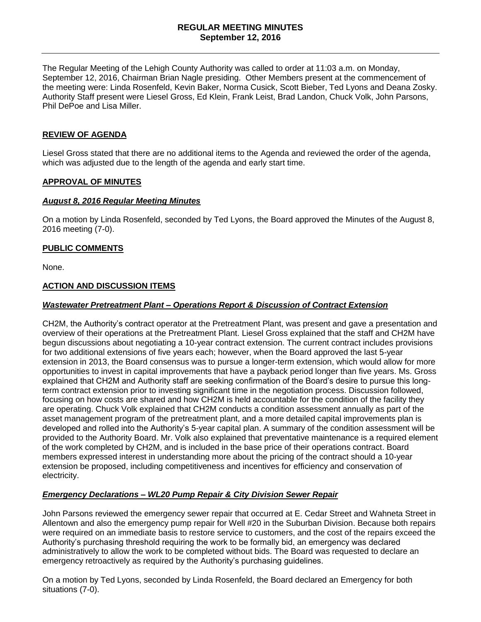The Regular Meeting of the Lehigh County Authority was called to order at 11:03 a.m. on Monday, September 12, 2016, Chairman Brian Nagle presiding. Other Members present at the commencement of the meeting were: Linda Rosenfeld, Kevin Baker, Norma Cusick, Scott Bieber, Ted Lyons and Deana Zosky. Authority Staff present were Liesel Gross, Ed Klein, Frank Leist, Brad Landon, Chuck Volk, John Parsons, Phil DePoe and Lisa Miller.

### **REVIEW OF AGENDA**

Liesel Gross stated that there are no additional items to the Agenda and reviewed the order of the agenda, which was adjusted due to the length of the agenda and early start time.

### **APPROVAL OF MINUTES**

#### *August 8, 2016 Regular Meeting Minutes*

On a motion by Linda Rosenfeld, seconded by Ted Lyons, the Board approved the Minutes of the August 8, 2016 meeting (7-0).

### **PUBLIC COMMENTS**

None.

#### **ACTION AND DISCUSSION ITEMS**

#### *Wastewater Pretreatment Plant – Operations Report & Discussion of Contract Extension*

CH2M, the Authority's contract operator at the Pretreatment Plant, was present and gave a presentation and overview of their operations at the Pretreatment Plant. Liesel Gross explained that the staff and CH2M have begun discussions about negotiating a 10-year contract extension. The current contract includes provisions for two additional extensions of five years each; however, when the Board approved the last 5-year extension in 2013, the Board consensus was to pursue a longer-term extension, which would allow for more opportunities to invest in capital improvements that have a payback period longer than five years. Ms. Gross explained that CH2M and Authority staff are seeking confirmation of the Board's desire to pursue this longterm contract extension prior to investing significant time in the negotiation process. Discussion followed, focusing on how costs are shared and how CH2M is held accountable for the condition of the facility they are operating. Chuck Volk explained that CH2M conducts a condition assessment annually as part of the asset management program of the pretreatment plant, and a more detailed capital improvements plan is developed and rolled into the Authority's 5-year capital plan. A summary of the condition assessment will be provided to the Authority Board. Mr. Volk also explained that preventative maintenance is a required element of the work completed by CH2M, and is included in the base price of their operations contract. Board members expressed interest in understanding more about the pricing of the contract should a 10-year extension be proposed, including competitiveness and incentives for efficiency and conservation of electricity.

### *Emergency Declarations – WL20 Pump Repair & City Division Sewer Repair*

John Parsons reviewed the emergency sewer repair that occurred at E. Cedar Street and Wahneta Street in Allentown and also the emergency pump repair for Well #20 in the Suburban Division. Because both repairs were required on an immediate basis to restore service to customers, and the cost of the repairs exceed the Authority's purchasing threshold requiring the work to be formally bid, an emergency was declared administratively to allow the work to be completed without bids. The Board was requested to declare an emergency retroactively as required by the Authority's purchasing guidelines.

On a motion by Ted Lyons, seconded by Linda Rosenfeld, the Board declared an Emergency for both situations (7-0).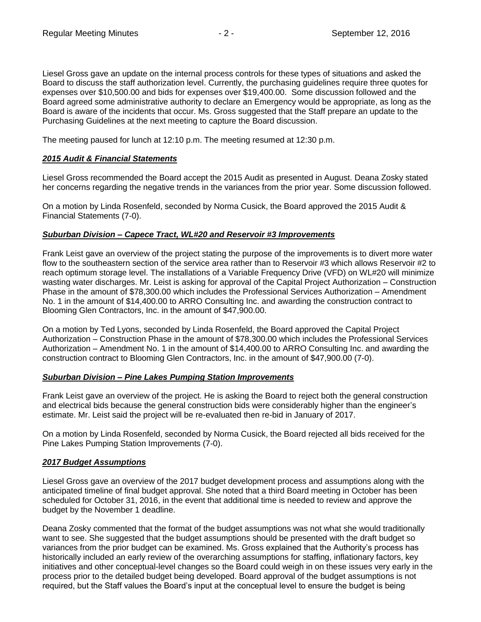Liesel Gross gave an update on the internal process controls for these types of situations and asked the Board to discuss the staff authorization level. Currently, the purchasing guidelines require three quotes for expenses over \$10,500.00 and bids for expenses over \$19,400.00. Some discussion followed and the Board agreed some administrative authority to declare an Emergency would be appropriate, as long as the Board is aware of the incidents that occur. Ms. Gross suggested that the Staff prepare an update to the Purchasing Guidelines at the next meeting to capture the Board discussion.

The meeting paused for lunch at 12:10 p.m. The meeting resumed at 12:30 p.m.

# *2015 Audit & Financial Statements*

Liesel Gross recommended the Board accept the 2015 Audit as presented in August. Deana Zosky stated her concerns regarding the negative trends in the variances from the prior year. Some discussion followed.

On a motion by Linda Rosenfeld, seconded by Norma Cusick, the Board approved the 2015 Audit & Financial Statements (7-0).

### *Suburban Division – Capece Tract, WL#20 and Reservoir #3 Improvements*

Frank Leist gave an overview of the project stating the purpose of the improvements is to divert more water flow to the southeastern section of the service area rather than to Reservoir #3 which allows Reservoir #2 to reach optimum storage level. The installations of a Variable Frequency Drive (VFD) on WL#20 will minimize wasting water discharges. Mr. Leist is asking for approval of the Capital Project Authorization – Construction Phase in the amount of \$78,300.00 which includes the Professional Services Authorization – Amendment No. 1 in the amount of \$14,400.00 to ARRO Consulting Inc. and awarding the construction contract to Blooming Glen Contractors, Inc. in the amount of \$47,900.00.

On a motion by Ted Lyons, seconded by Linda Rosenfeld, the Board approved the Capital Project Authorization – Construction Phase in the amount of \$78,300.00 which includes the Professional Services Authorization – Amendment No. 1 in the amount of \$14,400.00 to ARRO Consulting Inc. and awarding the construction contract to Blooming Glen Contractors, Inc. in the amount of \$47,900.00 (7-0).

### *Suburban Division – Pine Lakes Pumping Station Improvements*

Frank Leist gave an overview of the project. He is asking the Board to reject both the general construction and electrical bids because the general construction bids were considerably higher than the engineer's estimate. Mr. Leist said the project will be re-evaluated then re-bid in January of 2017.

On a motion by Linda Rosenfeld, seconded by Norma Cusick, the Board rejected all bids received for the Pine Lakes Pumping Station Improvements (7-0).

# *2017 Budget Assumptions*

Liesel Gross gave an overview of the 2017 budget development process and assumptions along with the anticipated timeline of final budget approval. She noted that a third Board meeting in October has been scheduled for October 31, 2016, in the event that additional time is needed to review and approve the budget by the November 1 deadline.

Deana Zosky commented that the format of the budget assumptions was not what she would traditionally want to see. She suggested that the budget assumptions should be presented with the draft budget so variances from the prior budget can be examined. Ms. Gross explained that the Authority's process has historically included an early review of the overarching assumptions for staffing, inflationary factors, key initiatives and other conceptual-level changes so the Board could weigh in on these issues very early in the process prior to the detailed budget being developed. Board approval of the budget assumptions is not required, but the Staff values the Board's input at the conceptual level to ensure the budget is being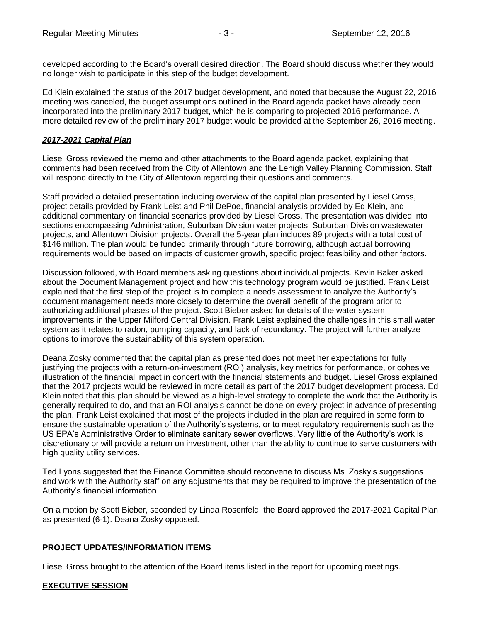developed according to the Board's overall desired direction. The Board should discuss whether they would no longer wish to participate in this step of the budget development.

Ed Klein explained the status of the 2017 budget development, and noted that because the August 22, 2016 meeting was canceled, the budget assumptions outlined in the Board agenda packet have already been incorporated into the preliminary 2017 budget, which he is comparing to projected 2016 performance. A more detailed review of the preliminary 2017 budget would be provided at the September 26, 2016 meeting.

### *2017-2021 Capital Plan*

Liesel Gross reviewed the memo and other attachments to the Board agenda packet, explaining that comments had been received from the City of Allentown and the Lehigh Valley Planning Commission. Staff will respond directly to the City of Allentown regarding their questions and comments.

Staff provided a detailed presentation including overview of the capital plan presented by Liesel Gross, project details provided by Frank Leist and Phil DePoe, financial analysis provided by Ed Klein, and additional commentary on financial scenarios provided by Liesel Gross. The presentation was divided into sections encompassing Administration, Suburban Division water projects, Suburban Division wastewater projects, and Allentown Division projects. Overall the 5-year plan includes 89 projects with a total cost of \$146 million. The plan would be funded primarily through future borrowing, although actual borrowing requirements would be based on impacts of customer growth, specific project feasibility and other factors.

Discussion followed, with Board members asking questions about individual projects. Kevin Baker asked about the Document Management project and how this technology program would be justified. Frank Leist explained that the first step of the project is to complete a needs assessment to analyze the Authority's document management needs more closely to determine the overall benefit of the program prior to authorizing additional phases of the project. Scott Bieber asked for details of the water system improvements in the Upper Milford Central Division. Frank Leist explained the challenges in this small water system as it relates to radon, pumping capacity, and lack of redundancy. The project will further analyze options to improve the sustainability of this system operation.

Deana Zosky commented that the capital plan as presented does not meet her expectations for fully justifying the projects with a return-on-investment (ROI) analysis, key metrics for performance, or cohesive illustration of the financial impact in concert with the financial statements and budget. Liesel Gross explained that the 2017 projects would be reviewed in more detail as part of the 2017 budget development process. Ed Klein noted that this plan should be viewed as a high-level strategy to complete the work that the Authority is generally required to do, and that an ROI analysis cannot be done on every project in advance of presenting the plan. Frank Leist explained that most of the projects included in the plan are required in some form to ensure the sustainable operation of the Authority's systems, or to meet regulatory requirements such as the US EPA's Administrative Order to eliminate sanitary sewer overflows. Very little of the Authority's work is discretionary or will provide a return on investment, other than the ability to continue to serve customers with high quality utility services.

Ted Lyons suggested that the Finance Committee should reconvene to discuss Ms. Zosky's suggestions and work with the Authority staff on any adjustments that may be required to improve the presentation of the Authority's financial information.

On a motion by Scott Bieber, seconded by Linda Rosenfeld, the Board approved the 2017-2021 Capital Plan as presented (6-1). Deana Zosky opposed.

# **PROJECT UPDATES/INFORMATION ITEMS**

Liesel Gross brought to the attention of the Board items listed in the report for upcoming meetings.

# **EXECUTIVE SESSION**